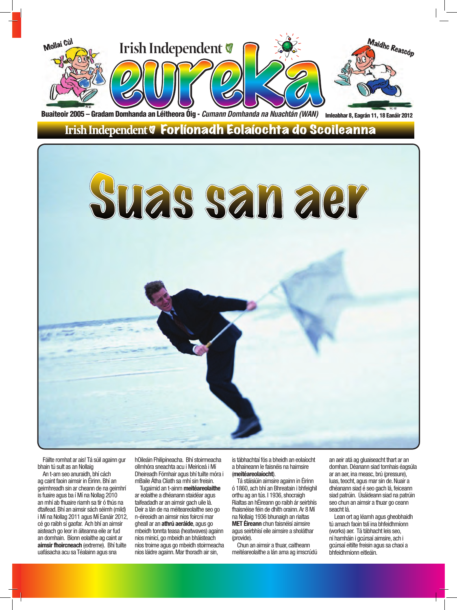

Fáilte romhat ar ais! Tá súil againn gur bhain tú sult as an Nollaig

An t-am seo anuraidh, bhí cách ag caint faoin aimsir in Éirinn.Bhí an geimhreadh sin ar cheann de na geimhrí is fuaire agus ba í Mí na Nollag 2010 an mhí ab fhuaire riamh sa tír ó thús na dtaifead.Bhí an aimsir sách séimh (mild) i Mí na Nollag 2011 agus Mí Eanáir 2012, cé go raibh sí gaofar. Ach bhí an aimsir aisteach go leor in áiteanna eile ar fud an domhain. Bíonn eolaithe ag caint ar **aimsir fhoircneach** (extreme). Bhí tuilte uafásacha acu sa Téalainn agus sna

hOileáin Fhilipíneacha. Bhí stoirmeacha ollmhóra sneachta acu i Meiriceá i Mí Dheireadh Fómhair agus bhí tuilte móra i mBaile Átha Cliath sa mhí sin freisin.

Tugaimid an t-ainm **meitéareolaithe** ar eolaithe a dhéanann staidéar agus taifeadadh ar an aimsir gach uile lá. Deir a lán de na méiteareolaithe seo go n-éireoidh an aimsir níos foircní mar gheall ar an **athrú aeráide**, agus go mbeidh tonnta teasa (heatwaves) againn níos minicí, go mbeidh an bháisteach níos troime agus go mbeidh stoirmeacha níos láidre againn.Mar thoradh air sin,

is tábhachtaí fós a bheidh an eolaíocht a bhaineann le faisnéis na haimsire (**meitéareolaíocht**).

Tá stáisiúin aimsire againn in Éirinn ó 1860, ach bhí an Bhreatain i bhfeighil orthu ag an tús. I 1936, shocraigh Rialtas an hÉireann go raibh ár seirbhís fhaisnéise féin de dhíth orainn.Ar 8 Mí na Nollaig 1936 bhunaigh an rialtas **MET Éireann** chun faisnéisí aimsire agus seirbhísí eile aimsire a sholáthar (provide).

Chun an aimsir a thuar, caitheann meitéareolaithe a lán ama ag imscrúdú an aeir atá ag gluaiseacht thart ar an domhan.Déanann siad tomhais éagsúla ar an aer, ina measc, brú (pressure), luas, teocht, agus mar sin de. Nuair a dhéanann siad é seo gach lá, feiceann siad patrúin. Úsáideann siad na patrúin seo chun an aimsir a thuar go ceann seacht lá.

Lean ort ag léamh agus gheobhaidh tú amach faoin tslí ina bhfeidhmíonn (works) aer. Tá tábhacht leis seo, ní hamháin i gcúrsaí aimsire, ach i gcúrsaí eitilte freisin agus sa chaoi a bhfeidhmíonn eitleáin.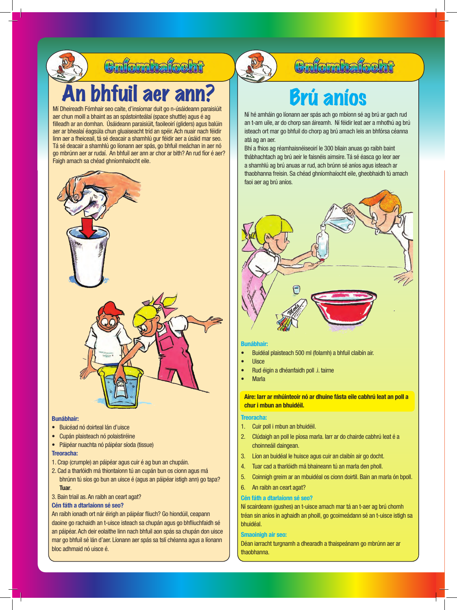

## hfuil aer ann? **Brú aníos**

Mí Dheireadh Fómhair seo caite, d'insíomar duit go n-úsáideann paraisiúit aer chun moill a bhaint as an spástointeálaí (space shuttle) agus é ag filleadh ar an domhan. Úsáideann paraisiúit, faoileoirí (gliders) agus balúin aer ar bhealaí éagsúla chun gluaiseacht tríd an spéir.Ach nuair nach féidir linn aer a fheiceail, tá sé deacair a shamhlú gur féidir aer a úsáid mar seo. Tá sé deacair a shamhlú go líonann aer spás, go bhfuil meáchan in aer nó go mbrúnn aer ar rudaí. An bhfuil aer ann ar chor ar bith? An rud fíor é aer? Faigh amach sa chéad ghníomhaíocht eile.



### **Bunábhair:**

- • Buicéad nó doirteal lán d'uisce
- • Cupán plaisteach nó polaistiréine
- • Páipéar nuachta nó páipéar síoda (tissue)

### **Treoracha:**

- 1. Crap (crumple) an páipéar agus cuir é ag bun an chupáin.
- 2. Cad a tharlóidh má thiontaíonn tú an cupán bun os cionn agus má bhrúnn tú síos go bun an uisce é (agus an páipéar istigh ann) go tapa? **Tuar**.

### 3. Bain triail as. An raibh an ceart agat?

### **Cén fáth a dtarlaíonn sé seo?**

An raibh ionadh ort nár éirigh an páipéar fliuch? Go hiondúil, ceapann daoine go rachaidh an t-uisce isteach sa chupán agus go bhfliuchfaidh sé an páipéar. Ach deir eolaithe linn nach bhfuil aon spás sa chupán don uisce mar go bhfuil sé lán d'aer. Líonann aer spás sa tslí chéanna agus a líonann bloc adhmaid nó uisce é.



### **Colordialoght**

Ní hé amháin go líonann aer spás ach go mbíonn sé ag brú ar gach rud an t-am uile, ar do chorp san áireamh. Ní féidir leat aer a mhothú ag brú isteach ort mar go bhfuil do chorp ag brú amach leis an bhfórsa céanna atá ag an aer.

Bhí a fhios ag réamhaisnéiseoirí le 300 bliain anuas go raibh baint thábhachtach ag brú aeir le faisnéis aimsire. Tá sé éasca go leor aer a shamhlú ag brú anuas ar rud, ach brúnn sé aníos agus isteach ar thaobhanna freisin. Sa chéad ghníomhaíocht eile, gheobhaidh tú amach faoi aer ag brú aníos.



### **Bunábhair:**

- Buidéal plaisteach 500 ml (folamh) a bhfuil claibín air.
- **Uisce**
- Rud éigin a dhéanfaidh poll .i. tairne
- **Marla**

**Aire: Iarr ar mhúinteoir nó ar dhuine fásta eile cabhrú leat an poll a chur i mbun an bhuidéil.** 

### **Treoracha:**

- 1. Cuir poll i mbun an bhuidéil.
- 2. Clúdaigh an poll le píosa marla. Iarr ar do chairde cabhrú leat é a choinneáil daingean.
- 3. Líon an buidéal le huisce agus cuir an claibín air go docht.
- 4. Tuar cad a tharlóidh má bhaineann tú an marla den pholl.
- 5. Coinnigh greim ar an mbuidéal os cionn doirtil. Bain an marla ón bpoll.
- 6. An raibh an ceart agat?

### **Cén fáth a dtarlaíonn sé seo?**

Ní scairdeann (gushes) an t-uisce amach mar tá an t-aer ag brú chomh tréan sin aníos in aghaidh an phoill, go gcoimeádann sé an t-uisce istigh sa bhuidéal.

### **Smaoinigh air seo:**

Déan iarracht turgnamh a dhearadh a thaispeánann go mbrúnn aer ar thaobhanna.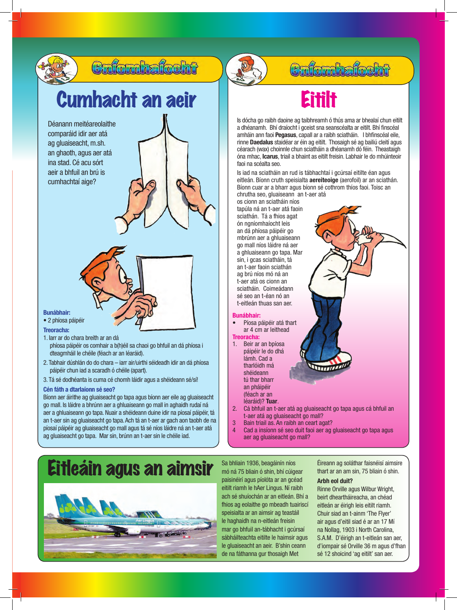

### **Bunábhair:**

- • 2 phíosa páipéir
- **Treoracha:**
- 1. Iarr ar do chara breith ar an dá
	- phíosa páipéir os comhair a b(h)éil sa chaoi go bhfuil an dá phíosa i dteagmháil le chéile (féach ar an léaráid).
- 2. Tabhair dúshlán do do chara iarr air/uirthi séideadh idir an dá phíosa páipéir chun iad a scaradh ó chéile (apart).
- 3. Tá sé dodhéanta is cuma cé chomh láidir agus a shéideann sé/sí!

### **Cén fáth a dtarlaíonn sé seo?**

Bíonn aer áirithe ag gluaiseacht go tapa agus bíonn aer eile ag gluaiseacht go mall. Is láidre a bhrúnn aer a ghluaiseann go mall in aghaidh rudaí ná aer a ghluaiseann go tapa. Nuair a shéideann duine idir na píosaí páipéir, tá an t-aer sin ag gluaiseacht go tapa.Ach tá an t-aer ar gach aon taobh de na píosaí páipéir ag gluaiseacht go mall agus tá sé níos láidre ná an t-aer atá ag gluaiseacht go tapa. Mar sin, brúnn an t-aer sin le chéile iad.

## *<u>Enfombafocht</u>*

Is dócha go raibh daoine ag taibhreamh ó thús ama ar bhealaí chun eitilt a dhéanamh. Bhí draíocht i gceist sna seanscéalta ar eitilt. Bhí finscéal amháin ann faoi **Pegasus**, capall ar a raibh sciatháin. I bhfinscéal eile, rinne **Daedalus** staidéar ar éin ag eitilt. Thosaigh sé ag bailiú cleití agus céarach (wax) choinnle chun sciatháin a dhéanamh dó féin. Theastaigh óna mhac, **Icarus**, triail a bhaint as eitilt freisin. Labhair le do mhúinteoir faoi na scéalta seo.

Is iad na sciatháin an rud is tábhachtaí i gcúrsaí eitilte éan agus eitleán. Bíonn cruth speisialta **aereiteoige** (aerofoil) ar an sciathán. Bíonn cuar ar a bharr agus bíonn sé cothrom thíos faoi. Toisc an chrutha seo, gluaiseann an t-aer atá

os cionn an sciatháin níos tapúla ná an t-aer atá faoin sciathán. Tá a fhios agat ón ngníomhaíocht leis an dá phíosa páipéir go mbrúnn aer a ghluaiseann go mall níos láidre ná aer a ghluaiseann go tapa. Mar sin, i gcas sciatháin, tá an t-aer faoin sciathán ag brú níos mó ná an t-aer atá os cionn an sciatháin. Coimeádann sé seo an t-éan nó an t-eitleán thuas san aer.

### **Bunábhair:**

- Píosa páipéir atá thart ar 4 cm ar leithead
- **Treoracha:** 1. Beir ar an bpíosa páipéir le do dhá lámh. Cad a tharlóidh má shéideann tú thar bharr an pháipéir (féach ar an
	- léaráid)? **Tuar**.
- 2. Cá bhfuil an t-aer atá ag gluaiseacht go tapa agus cá bhfuil an t-aer atá ag gluaiseacht go mall?
- 3 Bain triail as. An raibh an ceart agat?
- 4 Cad a insíonn sé seo duit faoi aer ag gluaiseacht go tapa agus aer ag gluaiseacht go mall?

## Eitleáin agus an aimsir



Sa bhliain 1936, beagáinín níos mó ná 75 bliain ó shin, bhí cúigear paisinéirí agus píolóta ar an gcéad eitilt riamh le hAer Lingus. Ní raibh ach sé shuíochán ar an eitleán. Bhí a fhios ag eolaithe go mbeadh tuairiscí speisialta ar an aimsir ag teastáil le haghaidh na n-eitleán freisin mar go bhfuil an-tábhacht i gcúrsaí sábháilteachta eitilte le haimsir agus le gluaiseacht an aeir. B'shin ceann de na fáthanna gur thosaigh Met

Éireann ag soláthar faisnéisí aimsire thart ar an am sin, 75 bliain ó shin.

### **Arbh eol duit?**

Rinne Orville agus Wilbur Wright, beirt dheartháireacha, an chéad eitleán ar éirigh leis eitilt riamh. Chuir siad an t-ainm 'The Flyer' air agus d'eitil siad é ar an 17 Mí na Nollag, 1903 i North Carolina, S.A.M. D'éirigh an t-eitleán san aer, d'iompair sé Orville 36 m agus d'fhan sé 12 shoicind 'ag eitilt' san aer.